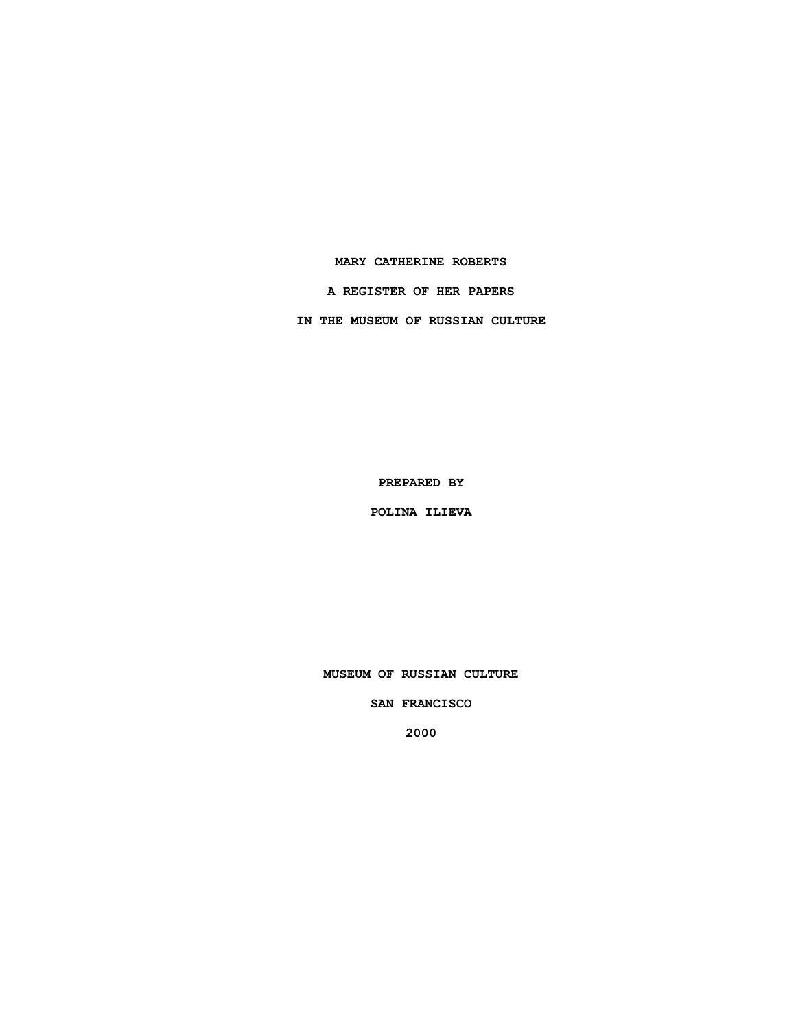### **MARY CATHERINE ROBERTS**

**A REGISTER OF HER PAPERS**

**IN THE MUSEUM OF RUSSIAN CULTURE**

**PREPARED BY**

**POLINA ILIEVA**

**MUSEUM OF RUSSIAN CULTURE**

**SAN FRANCISCO**

**2000**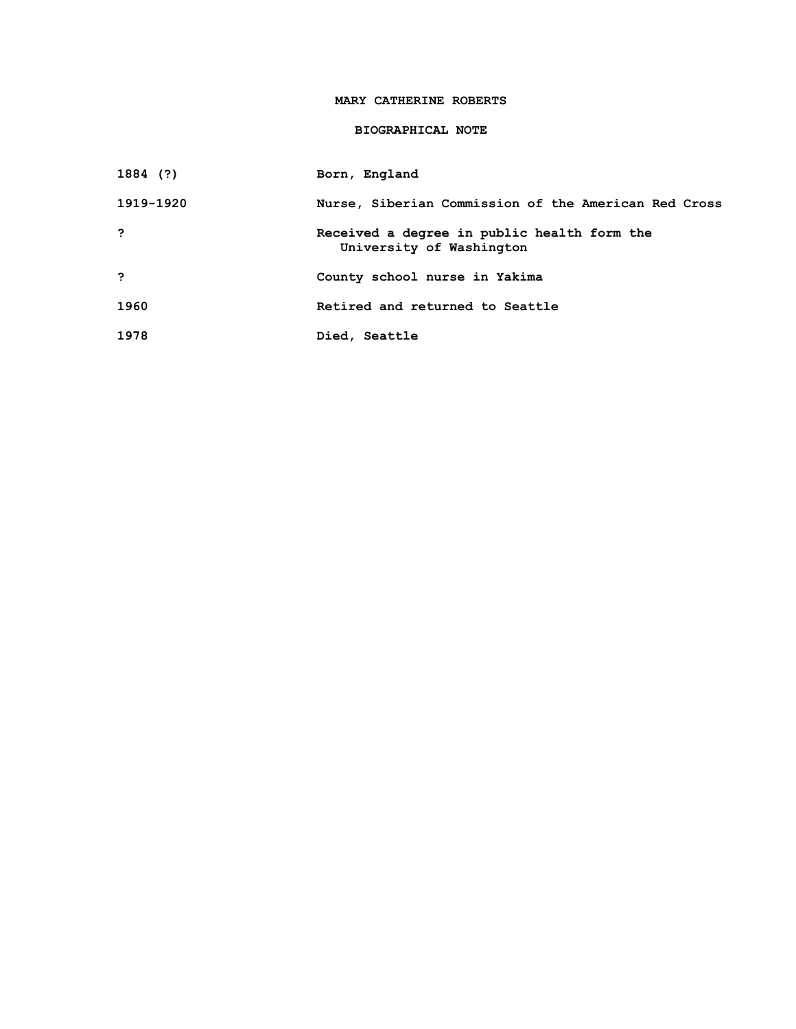## **MARY CATHERINE ROBERTS**

# **BIOGRAPHICAL NOTE**

**1884 (?) Born, England**

| 1919-1920 | Nurse, Siberian Commission of the American Red Cross                    |
|-----------|-------------------------------------------------------------------------|
| ?         | Received a degree in public health form the<br>University of Washington |
| - ?       | County school nurse in Yakima                                           |
| 1960      | Retired and returned to Seattle                                         |
| 1978      | Died, Seattle                                                           |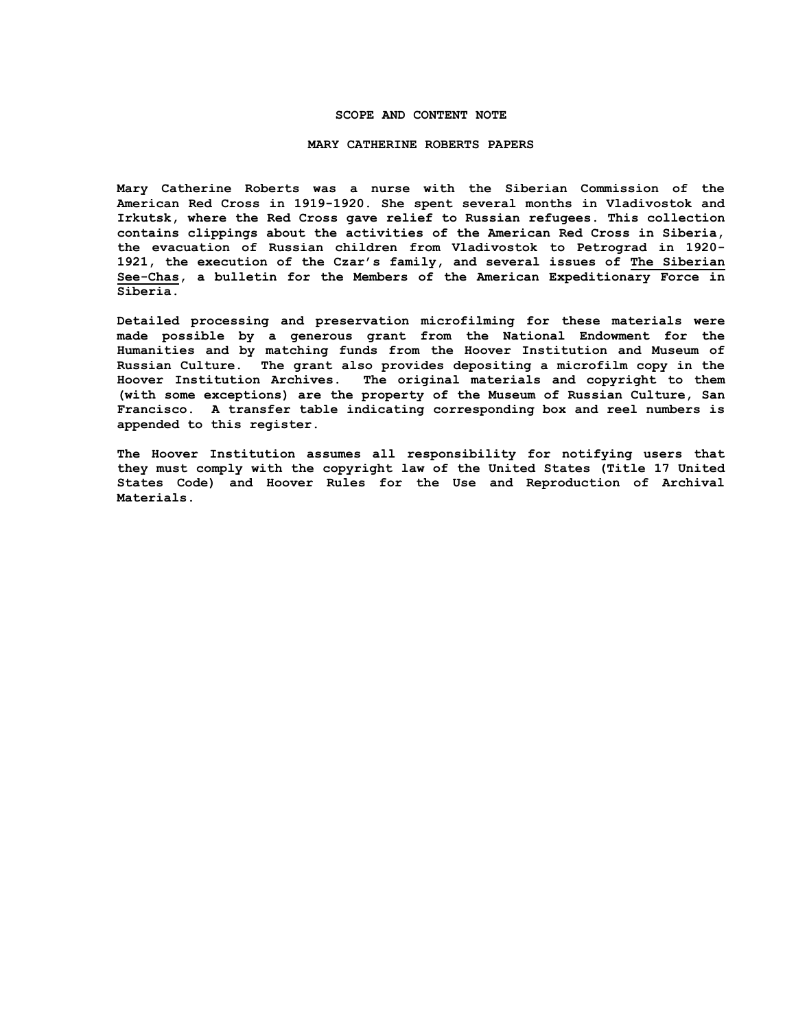### **SCOPE AND CONTENT NOTE**

#### **MARY CATHERINE ROBERTS PAPERS**

**Mary Catherine Roberts was a nurse with the Siberian Commission of the American Red Cross in 1919-1920. She spent several months in Vladivostok and Irkutsk, where the Red Cross gave relief to Russian refugees. This collection contains clippings about the activities of the American Red Cross in Siberia, the evacuation of Russian children from Vladivostok to Petrograd in 1920- 1921, the execution of the Czar's family, and several issues of The Siberian See-Chas, a bulletin for the Members of the American Expeditionary Force in Siberia.** 

**Detailed processing and preservation microfilming for these materials were made possible by a generous grant from the National Endowment for the Humanities and by matching funds from the Hoover Institution and Museum of Russian Culture. The grant also provides depositing a microfilm copy in the Hoover Institution Archives. The original materials and copyright to them (with some exceptions) are the property of the Museum of Russian Culture, San Francisco. A transfer table indicating corresponding box and reel numbers is appended to this register.**

**The Hoover Institution assumes all responsibility for notifying users that they must comply with the copyright law of the United States (Title 17 United States Code) and Hoover Rules for the Use and Reproduction of Archival Materials.**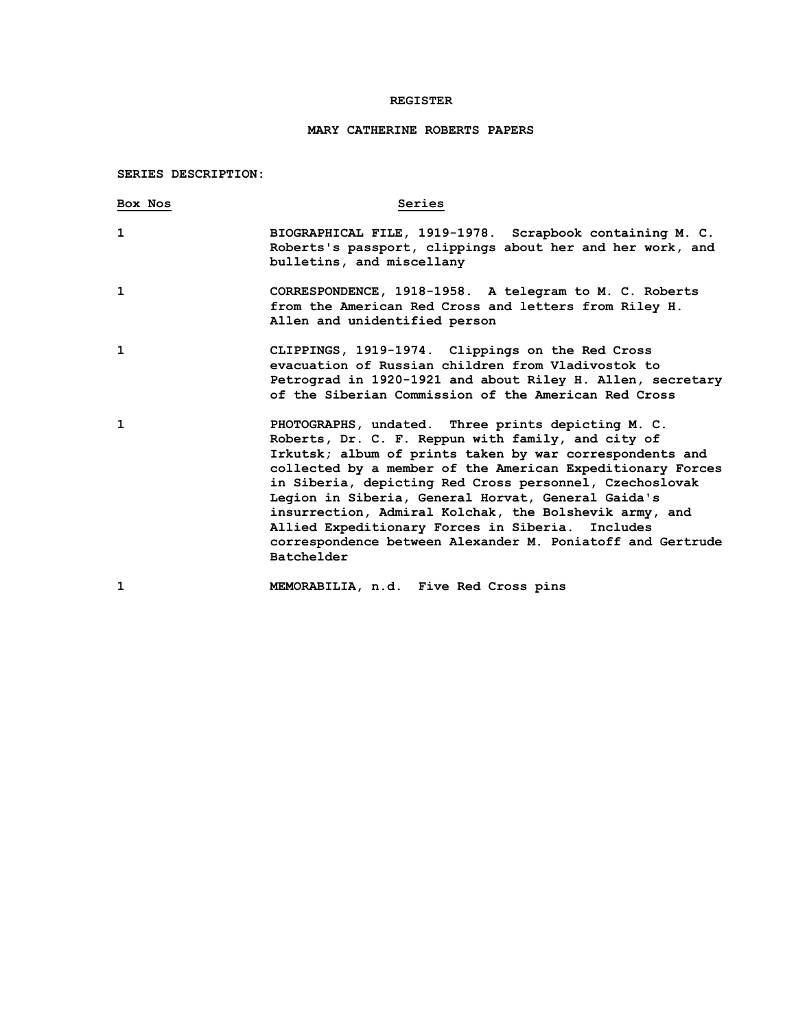## **REGISTER**

# **MARY CATHERINE ROBERTS PAPERS**

# **SERIES DESCRIPTION:**

| Box Nos | Series                                                                                                                                                                                                                                                                                                                                                                                                                                                                                                                                           |
|---------|--------------------------------------------------------------------------------------------------------------------------------------------------------------------------------------------------------------------------------------------------------------------------------------------------------------------------------------------------------------------------------------------------------------------------------------------------------------------------------------------------------------------------------------------------|
| 1       | BIOGRAPHICAL FILE, 1919-1978. Scrapbook containing M. C.<br>Roberts's passport, clippings about her and her work, and<br>bulletins, and miscellany                                                                                                                                                                                                                                                                                                                                                                                               |
| 1       | CORRESPONDENCE, 1918-1958. A telegram to M. C. Roberts<br>from the American Red Cross and letters from Riley H.<br>Allen and unidentified person                                                                                                                                                                                                                                                                                                                                                                                                 |
| 1       | CLIPPINGS, 1919-1974. Clippings on the Red Cross<br>evacuation of Russian children from Vladivostok to<br>Petrograd in 1920-1921 and about Riley H. Allen, secretary<br>of the Siberian Commission of the American Red Cross                                                                                                                                                                                                                                                                                                                     |
| 1       | PHOTOGRAPHS, undated. Three prints depicting M. C.<br>Roberts, Dr. C. F. Reppun with family, and city of<br>Irkutsk; album of prints taken by war correspondents and<br>collected by a member of the American Expeditionary Forces<br>in Siberia, depicting Red Cross personnel, Czechoslovak<br>Legion in Siberia, General Horvat, General Gaida's<br>insurrection, Admiral Kolchak, the Bolshevik army, and<br>Allied Expeditionary Forces in Siberia.<br>Includes<br>correspondence between Alexander M. Poniatoff and Gertrude<br>Batchelder |
| 1       | MEMORABILIA, n.d. Five Red Cross pins                                                                                                                                                                                                                                                                                                                                                                                                                                                                                                            |